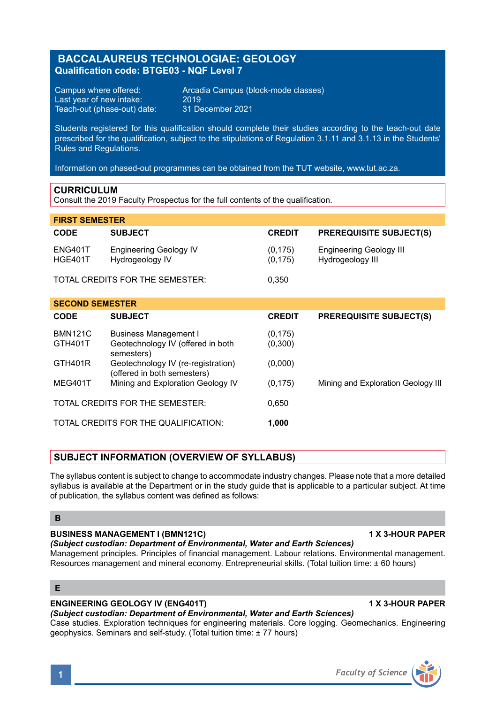# **BACCALAUREUS TECHNOLOGIAE: GEOLOGY Qualification code: BTGE03 - NQF Level 7**

Last year of new intake:  $2019$ <br>Teach-out (phase-out) date:  $31$  December 2021 Teach-out (phase-out) date:

Campus where offered: <br>
Last vear of new intake: 2019<br>
2019

Students registered for this qualification should complete their studies according to the teach-out date prescribed for the qualification, subject to the stipulations of Regulation 3.1.11 and 3.1.13 in the Students' Rules and Regulations.

Information on phased-out programmes can be obtained from the TUT website, www.tut.ac.za.

### **CURRICULUM**

Consult the 2019 Faculty Prospectus for the full contents of the qualification.

| <b>FIRST SEMESTER</b>                         |                                                                          |                      |                                             |
|-----------------------------------------------|--------------------------------------------------------------------------|----------------------|---------------------------------------------|
| <b>CODE</b>                                   | <b>SUBJECT</b>                                                           | <b>CREDIT</b>        | <b>PREREQUISITE SUBJECT(S)</b>              |
| <b>ENG401T</b><br><b>HGE401T</b>              | <b>Engineering Geology IV</b><br>Hydrogeology IV                         | (0, 175)<br>(0, 175) | Engineering Geology III<br>Hydrogeology III |
|                                               | TOTAL CREDITS FOR THE SEMESTER:                                          | 0,350                |                                             |
| <b>SECOND SEMESTER</b>                        |                                                                          |                      |                                             |
| <b>CODE</b>                                   | <b>SUBJECT</b>                                                           | <b>CREDIT</b>        | <b>PREREQUISITE SUBJECT(S)</b>              |
| <b>BMN121C</b><br>GTH401T                     | Business Management I<br>Geotechnology IV (offered in both<br>semesters) | (0, 175)<br>(0,300)  |                                             |
| GTH401R                                       | Geotechnology IV (re-registration)<br>(offered in both semesters)        | (0,000)              |                                             |
| MEG401T                                       | Mining and Exploration Geology IV                                        | (0, 175)             | Mining and Exploration Geology III          |
| TOTAL CREDITS FOR THE SEMESTER:               |                                                                          | 0.650                |                                             |
| TOTAL CREDITS FOR THE QUALIFICATION:<br>1,000 |                                                                          |                      |                                             |

## **SUBJECT INFORMATION (OVERVIEW OF SYLLABUS)**

The syllabus content is subject to change to accommodate industry changes. Please note that a more detailed syllabus is available at the Department or in the study guide that is applicable to a particular subject. At time of publication, the syllabus content was defined as follows:

### **B**

## **BUSINESS MANAGEMENT I (BMN121C) 1 X 3-HOUR PAPER**

*(Subject custodian: Department of Environmental, Water and Earth Sciences)*

Management principles. Principles of financial management. Labour relations. Environmental management. Resources management and mineral economy. Entrepreneurial skills. (Total tuition time: ± 60 hours)

## **E**

### **ENGINEERING GEOLOGY IV (ENG401T) 1 X 3-HOUR PAPER**

### *(Subject custodian: Department of Environmental, Water and Earth Sciences)*

Case studies. Exploration techniques for engineering materials. Core logging. Geomechanics. Engineering geophysics. Seminars and self-study. (Total tuition time: ± 77 hours)